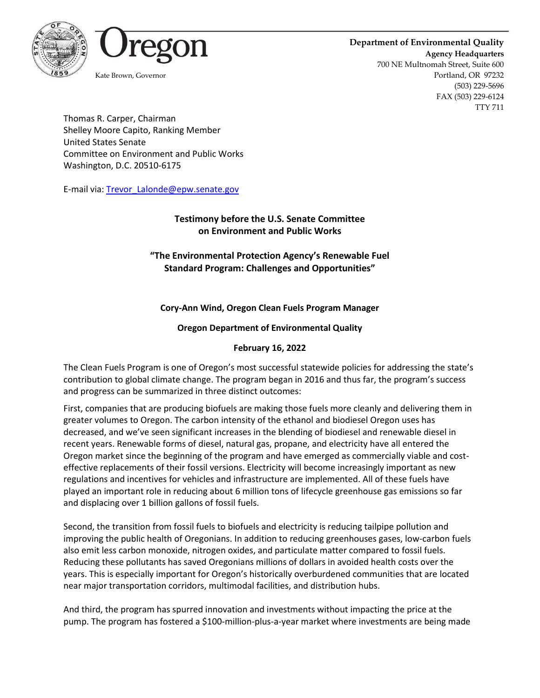



#### **Department of Environmental Quality Agency Headquarters** 700 NE Multnomah Street, Suite 600 Kate Brown, Governor **Portland, OR 97232** (503) 229-5696 FAX (503) 229-6124 TTY 711

Thomas R. Carper, Chairman Shelley Moore Capito, Ranking Member United States Senate Committee on Environment and Public Works Washington, D.C. 20510-6175

E-mail via[: Trevor\\_Lalonde@epw.senate.gov](mailto:Trevor_Lalonde@epw.senate.gov)

## **Testimony before the U.S. Senate Committee on Environment and Public Works**

# **"The Environmental Protection Agency's Renewable Fuel Standard Program: Challenges and Opportunities"**

## **Cory-Ann Wind, Oregon Clean Fuels Program Manager**

#### **Oregon Department of Environmental Quality**

#### **February 16, 2022**

The Clean Fuels Program is one of Oregon's most successful statewide policies for addressing the state's contribution to global climate change. The program began in 2016 and thus far, the program's success and progress can be summarized in three distinct outcomes:

First, companies that are producing biofuels are making those fuels more cleanly and delivering them in greater volumes to Oregon. The carbon intensity of the ethanol and biodiesel Oregon uses has decreased, and we've seen significant increases in the blending of biodiesel and renewable diesel in recent years. Renewable forms of diesel, natural gas, propane, and electricity have all entered the Oregon market since the beginning of the program and have emerged as commercially viable and costeffective replacements of their fossil versions. Electricity will become increasingly important as new regulations and incentives for vehicles and infrastructure are implemented. All of these fuels have played an important role in reducing about 6 million tons of lifecycle greenhouse gas emissions so far and displacing over 1 billion gallons of fossil fuels.

Second, the transition from fossil fuels to biofuels and electricity is reducing tailpipe pollution and improving the public health of Oregonians. In addition to reducing greenhouses gases, low-carbon fuels also emit less carbon monoxide, nitrogen oxides, and particulate matter compared to fossil fuels. Reducing these pollutants has saved Oregonians millions of dollars in avoided health costs over the years. This is especially important for Oregon's historically overburdened communities that are located near major transportation corridors, multimodal facilities, and distribution hubs.

And third, the program has spurred innovation and investments without impacting the price at the pump. The program has fostered a \$100-million-plus-a-year market where investments are being made